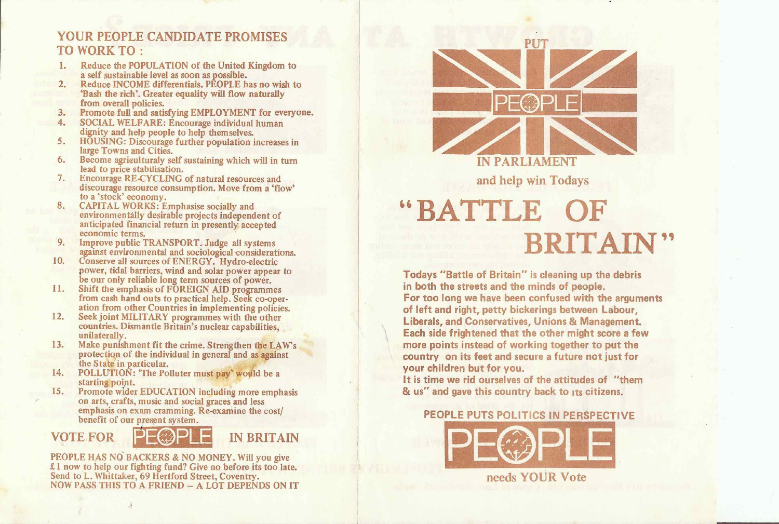#### YOUR PEOPLE CANDIDATE PROMISES PUT TO WORK TO :

- Reduce the POPULATION of the United Kingdom to <sup>a</sup> self sustainable level as soon as possible.
- Reduce INCOME differentials. PEOPLE has no wish to 'Bash the rich'. Greater equality will flow naturally<br>from overall policies.<br>3. Promote full and satisfying EMPLOYMENT for everyone.
- 
- 4. SOCIAL WELFARE: Encourage individual human dignity and help people to help themselves.
- 5. HOUSING: Discourage further population increases in large Towns and Cities.
- 6. Become agrieulturaly self sustaining which will in turn lead to price stabilisation.
- 7. Encourage RE-CYCLING of natural resources and discourage resource consumption. Move from <sup>a</sup> 'flow' to a 'stock' economy.<br>CAPITAL WORKS: Emphasise socially and
- 8. CAPITAL WORKS: Emphasise socially and environmentally desirable projects independent of anticipated financial return in presently accepted economic terms.
- 9. Improve public TRANSPORT. Judge all systems against environmental and sociological considerations. 10. Conserve all sources of ENERGY. Hydro-electric
- power, tidal barriers, wind and solar power appear to be our only reliable long term sources of power.
- ll. Shift the emphasis of FOREIGN AID programmes from cash hand outs to practical help. Seek co-operation from other Countries in implementing policies.<br>12. Seek joint MILITARY programmes with the other
- countries. Dismantle Britain's nuclear capabilities, unilaterally.
- 13. Make punishment fit the crime. Strengthen the LAW's protection of the individual in general and as against the State in particular.<br>14. POLLUTION: 'The Polluter must pay' would be a
- 
- starting point.<br>15. Promote wider EDUCATION including more emphasis on arts, crafts, music and social graces and less emphasis on exam cramming. Re-examine the cost/ benefit of our present system.

PEOPLE HAS NO BACKERS & NO MONEY. Will you give £1 now to help our fighting fund? Give no before its too late. Send to L. Whittaker, 69 Hertford Street, Coventry. NOW PASS THIS TO A FRIEND - A LOT DEPENDS ON IT



-|

## IN PARLIAMENT

# BRITAIN'"

#### PEOPLE PUTS POLITICS IN PERSPECTIVE



and help win Todays

BATTLE OF

Todays "Battle of Britain" is cleaning up the debris in both the streets and the minds of people. For too long we have been confused with the arguments of left and right, petty bickerings between Labour, Liberals, and Conservatives, Unions & Management. Each side frightened that the other might score <sup>a</sup> few more points instead of working together to put the country on its feet and secure <sup>a</sup> future not iust for your children but for you It is time we rid ourselves of the attitudes of "them & us" and gave this country back to its citizens.



#### needs YOUR Vote